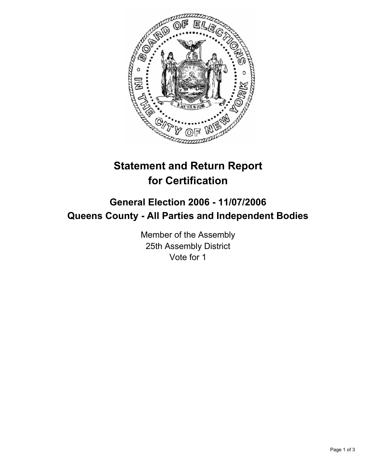

# **Statement and Return Report for Certification**

## **General Election 2006 - 11/07/2006 Queens County - All Parties and Independent Bodies**

Member of the Assembly 25th Assembly District Vote for 1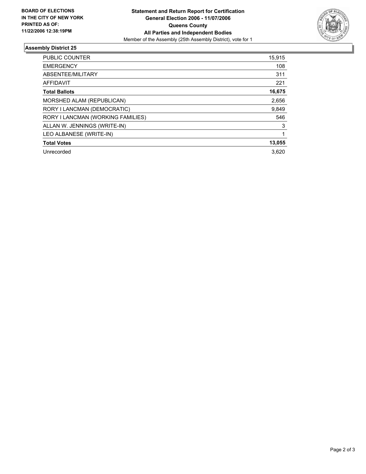

### **Assembly District 25**

| PUBLIC COUNTER                    | 15,915 |
|-----------------------------------|--------|
| <b>EMERGENCY</b>                  | 108    |
| ABSENTEE/MILITARY                 | 311    |
| <b>AFFIDAVIT</b>                  | 221    |
| <b>Total Ballots</b>              | 16,675 |
| MORSHED ALAM (REPUBLICAN)         | 2,656  |
| RORY I LANCMAN (DEMOCRATIC)       | 9,849  |
| RORY I LANCMAN (WORKING FAMILIES) | 546    |
| ALLAN W. JENNINGS (WRITE-IN)      | 3      |
| LEO ALBANESE (WRITE-IN)           |        |
| <b>Total Votes</b>                | 13,055 |
| Unrecorded                        | 3.620  |